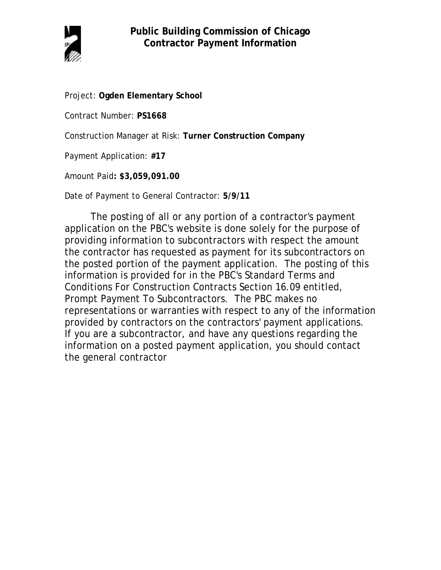

Project: **Ogden Elementary School**

Contract Number: **PS1668**

Construction Manager at Risk: **Turner Construction Company**

Payment Application: **#17**

Amount Paid**: \$3,059,091.00**

Date of Payment to General Contractor: **5/9/11**

The posting of all or any portion of a contractor's payment application on the PBC's website is done solely for the purpose of providing information to subcontractors with respect the amount the contractor has requested as payment for its subcontractors on the posted portion of the payment application. The posting of this information is provided for in the PBC's Standard Terms and Conditions For Construction Contracts Section 16.09 entitled, Prompt Payment To Subcontractors. The PBC makes no representations or warranties with respect to any of the information provided by contractors on the contractors' payment applications. If you are a subcontractor, and have any questions regarding the information on a posted payment application, you should contact the general contractor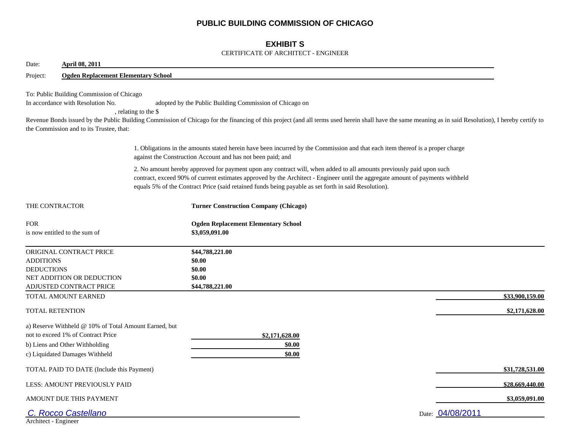## **PUBLIC BUILDING COMMISSION OF CHICAGO**

## **EXHIBIT S**

#### CERTIFICATE OF ARCHITECT - ENGINEER

| <b>April 08, 2011</b><br>Date:                                                                                                                                  |                                            |                                                                                                                                                                                                                                                                                                                                                                |                  |
|-----------------------------------------------------------------------------------------------------------------------------------------------------------------|--------------------------------------------|----------------------------------------------------------------------------------------------------------------------------------------------------------------------------------------------------------------------------------------------------------------------------------------------------------------------------------------------------------------|------------------|
| Project:                                                                                                                                                        | <b>Ogden Replacement Elementary School</b> |                                                                                                                                                                                                                                                                                                                                                                |                  |
| To: Public Building Commission of Chicago<br>In accordance with Resolution No.<br>the Commission and to its Trustee, that:                                      | , relating to the \$                       | adopted by the Public Building Commission of Chicago on<br>Revenue Bonds issued by the Public Building Commission of Chicago for the financing of this project (and all terms used herein shall have the same meaning as in said Resolution), I hereby certify to                                                                                              |                  |
|                                                                                                                                                                 |                                            | 1. Obligations in the amounts stated herein have been incurred by the Commission and that each item thereof is a proper charge<br>against the Construction Account and has not been paid; and                                                                                                                                                                  |                  |
|                                                                                                                                                                 |                                            | 2. No amount hereby approved for payment upon any contract will, when added to all amounts previously paid upon such<br>contract, exceed 90% of current estimates approved by the Architect - Engineer until the aggregate amount of payments withheld<br>equals 5% of the Contract Price (said retained funds being payable as set forth in said Resolution). |                  |
| THE CONTRACTOR                                                                                                                                                  |                                            | <b>Turner Construction Company (Chicago)</b>                                                                                                                                                                                                                                                                                                                   |                  |
| <b>FOR</b><br>is now entitled to the sum of                                                                                                                     |                                            | <b>Ogden Replacement Elementary School</b><br>\$3,059,091.00                                                                                                                                                                                                                                                                                                   |                  |
| ORIGINAL CONTRACT PRICE<br><b>ADDITIONS</b><br><b>DEDUCTIONS</b><br>NET ADDITION OR DEDUCTION<br>ADJUSTED CONTRACT PRICE                                        |                                            | \$44,788,221.00<br>\$0.00<br>\$0.00<br>\$0.00<br>\$44,788,221.00                                                                                                                                                                                                                                                                                               |                  |
| TOTAL AMOUNT EARNED                                                                                                                                             |                                            |                                                                                                                                                                                                                                                                                                                                                                | \$33,900,159.00  |
| <b>TOTAL RETENTION</b>                                                                                                                                          |                                            |                                                                                                                                                                                                                                                                                                                                                                | \$2,171,628.00   |
| a) Reserve Withheld @ 10% of Total Amount Earned, but<br>not to exceed 1% of Contract Price<br>b) Liens and Other Withholding<br>c) Liquidated Damages Withheld |                                            | \$2,171,628.00<br>\$0.00<br>\$0.00                                                                                                                                                                                                                                                                                                                             |                  |
| TOTAL PAID TO DATE (Include this Payment)                                                                                                                       |                                            |                                                                                                                                                                                                                                                                                                                                                                | \$31,728,531.00  |
| LESS: AMOUNT PREVIOUSLY PAID                                                                                                                                    |                                            |                                                                                                                                                                                                                                                                                                                                                                | \$28,669,440.00  |
| AMOUNT DUE THIS PAYMENT                                                                                                                                         |                                            |                                                                                                                                                                                                                                                                                                                                                                | \$3,059,091.00   |
| C. Rocco Castellano<br>Architect - Engineer                                                                                                                     |                                            |                                                                                                                                                                                                                                                                                                                                                                | Date: 04/08/2011 |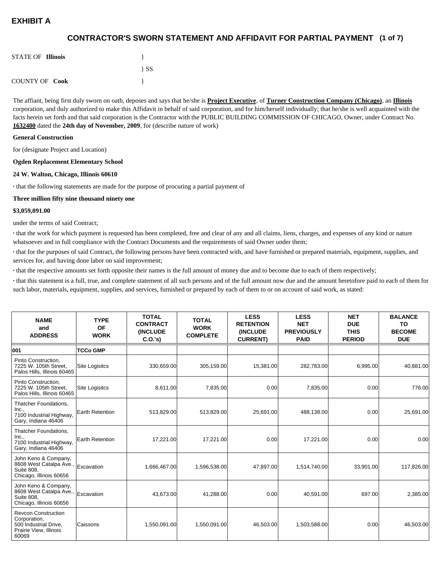## **(1 of 7) CONTRACTOR'S SWORN STATEMENT AND AFFIDAVIT FOR PARTIAL PAYMENT**

| <b>STATE OF Illinois</b> |          |
|--------------------------|----------|
|                          | $\{SS\}$ |
| <b>COUNTY OF Cook</b>    |          |

The affiant, being first duly sworn on oath, deposes and says that he/she is **Project Executive**, of **Turner Construction Company (Chicago)**, an **Illinois** corporation, and duly authorized to make this Affidavit in behalf of said corporation, and for him/herself individually; that he/she is well acquainted with the facts herein set forth and that said corporation is the Contractor with the PUBLIC BUILDING COMMISSION OF CHICAGO, Owner, under Contract No. **1632400** dated the **24th day of November, 2009**, for (describe nature of work)

#### **General Construction**

for (designate Project and Location)

#### **Ogden Replacement Elementary School**

#### **24 W. Walton, Chicago, Illinois 60610**

**·** that the following statements are made for the purpose of procuring a partial payment of

#### **Three million fifty nine thousand ninety one**

#### **\$3,059,091.00**

under the terms of said Contract;

**·** that the work for which payment is requested has been completed, free and clear of any and all claims, liens, charges, and expenses of any kind or nature whatsoever and in full compliance with the Contract Documents and the requirements of said Owner under them;

**·** that for the purposes of said Contract, the following persons have been contracted with, and have furnished or prepared materials, equipment, supplies, and services for, and having done labor on said improvement;

**·** that the respective amounts set forth opposite their names is the full amount of money due and to become due to each of them respectively;

**·** that this statement is a full, true, and complete statement of all such persons and of the full amount now due and the amount heretofore paid to each of them for such labor, materials, equipment, supplies, and services, furnished or prepared by each of them to or on account of said work, as stated:

| <b>NAME</b><br>and<br><b>ADDRESS</b>                                                                   | <b>TYPE</b><br><b>OF</b><br><b>WORK</b> | <b>TOTAL</b><br><b>CONTRACT</b><br><b>(INCLUDE)</b><br>C.0.'s) | <b>TOTAL</b><br><b>WORK</b><br><b>COMPLETE</b> | <b>LESS</b><br><b>RETENTION</b><br><b>(INCLUDE)</b><br><b>CURRENT)</b> | <b>LESS</b><br><b>NET</b><br><b>PREVIOUSLY</b><br><b>PAID</b> | <b>NET</b><br><b>DUE</b><br><b>THIS</b><br><b>PERIOD</b> | <b>BALANCE</b><br>TO<br><b>BECOME</b><br><b>DUE</b> |
|--------------------------------------------------------------------------------------------------------|-----------------------------------------|----------------------------------------------------------------|------------------------------------------------|------------------------------------------------------------------------|---------------------------------------------------------------|----------------------------------------------------------|-----------------------------------------------------|
| 001                                                                                                    | <b>TCCo GMP</b>                         |                                                                |                                                |                                                                        |                                                               |                                                          |                                                     |
| Pinto Construction,<br>7225 W. 105th Street.<br>Palos Hills, Illinois 60465                            | <b>Site Logisitcs</b>                   | 330,659.00                                                     | 305,159.00                                     | 15,381.00                                                              | 282,783.00                                                    | 6,995.00                                                 | 40,881.00                                           |
| Pinto Construction.<br>7225 W. 105th Street,<br>Palos Hills, Illinois 60465                            | <b>Site Logisitcs</b>                   | 8,611.00                                                       | 7,835.00                                       | 0.00                                                                   | 7,835.00                                                      | 0.00                                                     | 776.00                                              |
| Thatcher Foundations,<br>Inc.,<br>7100 Industrial Highway,<br>Gary, Indiana 46406                      | <b>Earth Retention</b>                  | 513,829.00                                                     | 513,829.00                                     | 25,691.00                                                              | 488,138.00                                                    | 0.00                                                     | 25,691.00                                           |
| Thatcher Foundations,<br>Inc.,<br>7100 Industrial Highway,<br>Gary, Indiana 46406                      | <b>Earth Retention</b>                  | 17,221.00                                                      | 17,221.00                                      | 0.00                                                                   | 17,221.00                                                     | 0.00                                                     | 0.00                                                |
| John Keno & Company,<br>8608 West Catalpa Ave.,<br><b>Suite 808.</b><br>Chicago, Illinois 60656        | Excavation                              | 1,666,467.00                                                   | 1,596,538.00                                   | 47,897.00                                                              | 1,514,740.00                                                  | 33,901.00                                                | 117,826.00                                          |
| John Keno & Company,<br>8608 West Catalpa Ave.,<br><b>Suite 808.</b><br>Chicago, Illinois 60656        | Excavation                              | 43,673.00                                                      | 41,288.00                                      | 0.00                                                                   | 40,591.00                                                     | 697.00                                                   | 2,385.00                                            |
| <b>Revcon Construction</b><br>Corporation,<br>500 Industrial Drive,<br>Prairie View, Illinois<br>60069 | Caissons                                | 1,550,091.00                                                   | 1,550,091.00                                   | 46,503.00                                                              | 1,503,588.00                                                  | 0.00                                                     | 46,503.00                                           |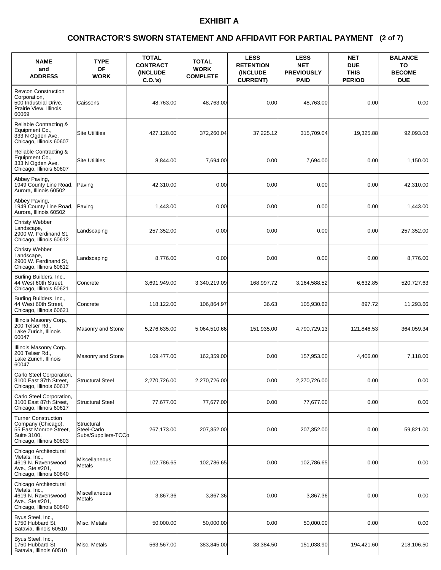### **(2 of 7) CONTRACTOR'S SWORN STATEMENT AND AFFIDAVIT FOR PARTIAL PAYMENT**

| <b>NAME</b><br>and<br><b>ADDRESS</b>                                                                                 | <b>TYPE</b><br><b>OF</b><br><b>WORK</b>          | <b>TOTAL</b><br><b>CONTRACT</b><br><b>(INCLUDE)</b><br>C.O.'s | <b>TOTAL</b><br><b>WORK</b><br><b>COMPLETE</b> | <b>LESS</b><br><b>RETENTION</b><br><b>(INCLUDE)</b><br><b>CURRENT)</b> | <b>LESS</b><br><b>NET</b><br><b>PREVIOUSLY</b><br><b>PAID</b> | <b>NET</b><br><b>DUE</b><br><b>THIS</b><br><b>PERIOD</b> | <b>BALANCE</b><br>TO<br><b>BECOME</b><br><b>DUE</b> |
|----------------------------------------------------------------------------------------------------------------------|--------------------------------------------------|---------------------------------------------------------------|------------------------------------------------|------------------------------------------------------------------------|---------------------------------------------------------------|----------------------------------------------------------|-----------------------------------------------------|
| <b>Revcon Construction</b><br>Corporation,<br>500 Industrial Drive,<br>Prairie View, Illinois<br>60069               | Caissons                                         | 48,763.00                                                     | 48,763.00                                      | 0.00                                                                   | 48,763.00                                                     | 0.00                                                     | 0.00                                                |
| Reliable Contracting &<br>Equipment Co.,<br>333 N Ogden Ave.<br>Chicago, Illinois 60607                              | <b>Site Utilities</b>                            | 427,128.00                                                    | 372,260.04                                     | 37,225.12                                                              | 315,709.04                                                    | 19,325.88                                                | 92,093.08                                           |
| Reliable Contracting &<br>Equipment Co.,<br>333 N Ogden Ave,<br>Chicago, Illinois 60607                              | <b>Site Utilities</b>                            | 8,844.00                                                      | 7,694.00                                       | 0.00                                                                   | 7,694.00                                                      | 0.00                                                     | 1,150.00                                            |
| Abbey Paving,<br>1949 County Line Road,<br>Aurora, Illinois 60502                                                    | Paving                                           | 42,310.00                                                     | 0.00                                           | 0.00                                                                   | 0.00                                                          | 0.00                                                     | 42,310.00                                           |
| Abbey Paving,<br>1949 County Line Road,<br>Aurora. Illinois 60502                                                    | Paving                                           | 1,443.00                                                      | 0.00                                           | 0.00                                                                   | 0.00                                                          | 0.00                                                     | 1,443.00                                            |
| <b>Christy Webber</b><br>Landscape,<br>2900 W. Ferdinand St.<br>Chicago, Illinois 60612                              | Landscaping                                      | 257,352.00                                                    | 0.00                                           | 0.00                                                                   | 0.00                                                          | 0.00                                                     | 257,352.00                                          |
| <b>Christy Webber</b><br>Landscape,<br>2900 W. Ferdinand St,<br>Chicago, Illinois 60612                              | Landscaping                                      | 8,776.00                                                      | 0.00                                           | 0.00                                                                   | 0.00                                                          | 0.00                                                     | 8,776.00                                            |
| Burling Builders, Inc.,<br>44 West 60th Street,<br>Chicago, Illinois 60621                                           | Concrete                                         | 3,691,949.00                                                  | 3,340,219.09                                   | 168,997.72                                                             | 3,164,588.52                                                  | 6,632.85                                                 | 520,727.63                                          |
| Burling Builders, Inc.,<br>44 West 60th Street,<br>Chicago, Illinois 60621                                           | Concrete                                         | 118,122.00                                                    | 106,864.97                                     | 36.63                                                                  | 105,930.62                                                    | 897.72                                                   | 11,293.66                                           |
| Illinois Masonry Corp.,<br>200 Telser Rd.,<br>Lake Zurich, Illinois<br>60047                                         | Masonry and Stone                                | 5,276,635.00                                                  | 5,064,510.66                                   | 151.935.00                                                             | 4,790,729.13                                                  | 121,846.53                                               | 364,059.34                                          |
| Illinois Masonry Corp.,<br>200 Telser Rd<br>Lake Zurich, Illinois<br>60047                                           | Masonry and Stone                                | 169,477.00                                                    | 162,359.00                                     | 0.00                                                                   | 157,953.00                                                    | 4,406.00                                                 | 7,118.00                                            |
| Carlo Steel Corporation,<br>3100 East 87th Street,<br>Chicago, Illinois 60617                                        | <b>Structural Steel</b>                          | 2,270,726.00                                                  | 2,270,726.00                                   | 0.00                                                                   | 2,270,726.00                                                  | 0.00                                                     | 0.00                                                |
| Carlo Steel Corporation,<br>3100 East 87th Street,<br>Chicago, Illinois 60617                                        | <b>Structural Steel</b>                          | 77,677.00                                                     | 77,677.00                                      | 0.00                                                                   | 77,677.00                                                     | 0.00                                                     | 0.00                                                |
| <b>Turner Construction</b><br>Company (Chicago),<br>55 East Monroe Street,<br>Suite 3100,<br>Chicago, Illinois 60603 | Structural<br>Steel-Carlo<br>Subs/Suppliers-TCCb | 267,173.00                                                    | 207,352.00                                     | 0.00                                                                   | 207,352.00                                                    | 0.00                                                     | 59,821.00                                           |
| Chicago Architectural<br>Metals. Inc<br>4619 N. Ravenswood<br>Ave., Ste #201,<br>Chicago, Illinois 60640             | Miscellaneous<br>Metals                          | 102,786.65                                                    | 102.786.65                                     | 0.00                                                                   | 102,786.65                                                    | 0.00                                                     | 0.00                                                |
| Chicago Architectural<br>Metals, Inc.,<br>4619 N. Ravenswood<br>Ave., Ste #201,<br>Chicago, Illinois 60640           | Miscellaneous<br>Metals                          | 3,867.36                                                      | 3,867.36                                       | 0.00                                                                   | 3,867.36                                                      | 0.00                                                     | 0.00                                                |
| Byus Steel, Inc.,<br>1750 Hubbard St.<br>Batavia, Illinois 60510                                                     | Misc. Metals                                     | 50,000.00                                                     | 50,000.00                                      | 0.00                                                                   | 50,000.00                                                     | 0.00                                                     | 0.00                                                |
| Byus Steel, Inc.,<br>1750 Hubbard St.<br>Batavia, Illinois 60510                                                     | Misc. Metals                                     | 563,567.00                                                    | 383,845.00                                     | 38,384.50                                                              | 151,038.90                                                    | 194,421.60                                               | 218,106.50                                          |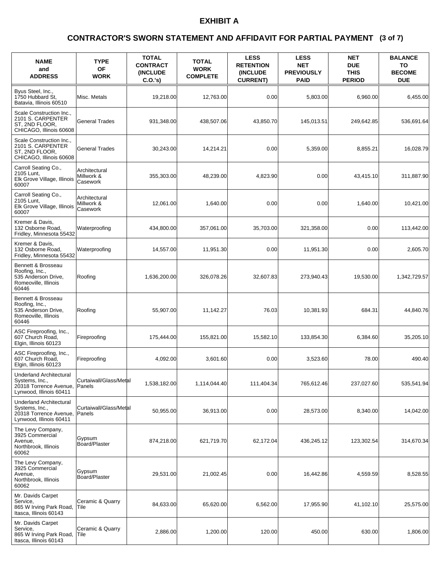### **(3 of 7) CONTRACTOR'S SWORN STATEMENT AND AFFIDAVIT FOR PARTIAL PAYMENT**

| <b>NAME</b><br>and<br><b>ADDRESS</b>                                                                  | <b>TYPE</b><br><b>OF</b><br><b>WORK</b> | <b>TOTAL</b><br><b>CONTRACT</b><br><b>(INCLUDE)</b><br>C.O.'s) | <b>TOTAL</b><br><b>WORK</b><br><b>COMPLETE</b> | <b>LESS</b><br><b>RETENTION</b><br><b>(INCLUDE)</b><br><b>CURRENT)</b> | <b>LESS</b><br><b>NET</b><br><b>PREVIOUSLY</b><br><b>PAID</b> | <b>NET</b><br><b>DUE</b><br><b>THIS</b><br><b>PERIOD</b> | <b>BALANCE</b><br>TO<br><b>BECOME</b><br><b>DUE</b> |
|-------------------------------------------------------------------------------------------------------|-----------------------------------------|----------------------------------------------------------------|------------------------------------------------|------------------------------------------------------------------------|---------------------------------------------------------------|----------------------------------------------------------|-----------------------------------------------------|
| Byus Steel, Inc.,<br>1750 Hubbard St.<br>Batavia, Illinois 60510                                      | Misc. Metals                            | 19,218.00                                                      | 12,763.00                                      | 0.00                                                                   | 5,803.00                                                      | 6,960.00                                                 | 6,455.00                                            |
| Scale Construction Inc.,<br>2101 S. CARPENTER<br>ST. 2ND FLOOR.<br>CHICAGO, Illinois 60608            | General Trades                          | 931,348.00                                                     | 438,507.06                                     | 43,850.70                                                              | 145,013.51                                                    | 249,642.85                                               | 536,691.64                                          |
| Scale Construction Inc.,<br>2101 S. CARPENTER<br>ST, 2ND FLOOR,<br>CHICAGO, Illinois 60608            | <b>General Trades</b>                   | 30,243.00                                                      | 14,214.21                                      | 0.00                                                                   | 5,359.00                                                      | 8.855.21                                                 | 16,028.79                                           |
| Carroll Seating Co.,<br>2105 Lunt,<br>Elk Grove Village, Illinois<br>60007                            | Architectural<br>Millwork &<br>Casework | 355,303.00                                                     | 48,239.00                                      | 4,823.90                                                               | 0.00                                                          | 43,415.10                                                | 311,887.90                                          |
| Carroll Seating Co.,<br>2105 Lunt,<br>Elk Grove Village, Illinois<br>60007                            | Architectural<br>Millwork &<br>Casework | 12,061.00                                                      | 1,640.00                                       | 0.00                                                                   | 0.00                                                          | 1.640.00                                                 | 10,421.00                                           |
| Kremer & Davis,<br>132 Osborne Road,<br>Fridley, Minnesota 55432                                      | Waterproofing                           | 434,800.00                                                     | 357,061.00                                     | 35,703.00                                                              | 321,358.00                                                    | 0.00                                                     | 113,442.00                                          |
| Kremer & Davis,<br>132 Osborne Road.<br>Fridley, Minnesota 55432                                      | Waterproofing                           | 14,557.00                                                      | 11,951.30                                      | 0.00                                                                   | 11,951.30                                                     | 0.00                                                     | 2,605.70                                            |
| Bennett & Brosseau<br>Roofing, Inc.,<br>535 Anderson Drive,<br>Romeoville, Illinois<br>60446          | Roofing                                 | 1,636,200.00                                                   | 326,078.26                                     | 32,607.83                                                              | 273,940.43                                                    | 19,530.00                                                | 1,342,729.57                                        |
| Bennett & Brosseau<br>Roofing, Inc.,<br>535 Anderson Drive,<br>Romeoville, Illinois<br>60446          | Roofing                                 | 55,907.00                                                      | 11,142.27                                      | 76.03                                                                  | 10,381.93                                                     | 684.31                                                   | 44,840.76                                           |
| ASC Fireproofing, Inc.,<br>607 Church Road,<br>Elgin, Illinois 60123                                  | Fireproofing                            | 175,444.00                                                     | 155,821.00                                     | 15,582.10                                                              | 133,854.30                                                    | 6,384.60                                                 | 35,205.10                                           |
| ASC Fireproofing, Inc.,<br>607 Church Road,<br>Elgin, Illinois 60123                                  | Fireproofing                            | 4,092.00                                                       | 3,601.60                                       | 0.00                                                                   | 3,523.60                                                      | 78.00                                                    | 490.40                                              |
| Underland Architectural<br>Systems, Inc.,<br>20318 Torrence Avenue,<br>Lynwood, Illinois 60411        | Curtaiwall/Glass/Metal<br>Panels        | 1,538,182.00                                                   | 1,114,044.40                                   | 111,404.34                                                             | 765,612.46                                                    | 237,027.60                                               | 535,541.94                                          |
| <b>Underland Architectural</b><br>Systems, Inc.,<br>20318 Torrence Avenue,<br>Lynwood, Illinois 60411 | Curtaiwall/Glass/Metal<br>Panels        | 50,955.00                                                      | 36,913.00                                      | 0.00                                                                   | 28,573.00                                                     | 8,340.00                                                 | 14,042.00                                           |
| The Levy Company,<br>3925 Commercial<br>Avenue,<br>Northbrook, Illinois<br>60062                      | Gypsum<br>Board/Plaster                 | 874,218.00                                                     | 621,719.70                                     | 62,172.04                                                              | 436,245.12                                                    | 123,302.54                                               | 314,670.34                                          |
| The Levy Company,<br>3925 Commercial<br>Avenue,<br>Northbrook, Illinois<br>60062                      | Gypsum<br>Board/Plaster                 | 29,531.00                                                      | 21,002.45                                      | 0.00                                                                   | 16,442.86                                                     | 4,559.59                                                 | 8,528.55                                            |
| Mr. Davids Carpet<br>Service,<br>865 W Irving Park Road,<br>Itasca, Illinois 60143                    | Ceramic & Quarry<br>Tile                | 84,633.00                                                      | 65,620.00                                      | 6,562.00                                                               | 17,955.90                                                     | 41,102.10                                                | 25,575.00                                           |
| Mr. Davids Carpet<br>Service,<br>865 W Irving Park Road,<br>Itasca, Illinois 60143                    | Ceramic & Quarry<br>Tile                | 2,886.00                                                       | 1,200.00                                       | 120.00                                                                 | 450.00                                                        | 630.00                                                   | 1,806.00                                            |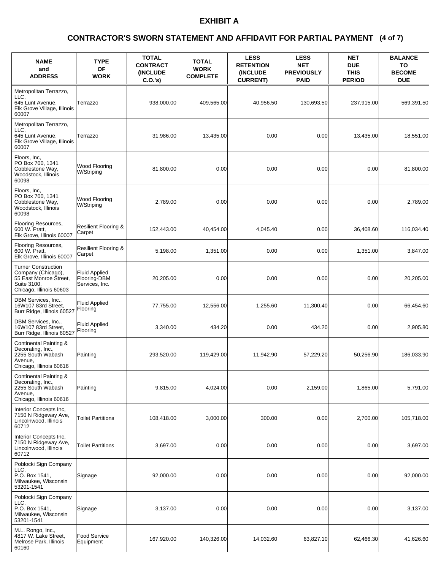### **(4 of 7) CONTRACTOR'S SWORN STATEMENT AND AFFIDAVIT FOR PARTIAL PAYMENT**

| <b>NAME</b><br>and<br><b>ADDRESS</b>                                                                                 | <b>TYPE</b><br>OF<br><b>WORK</b>                       | <b>TOTAL</b><br><b>CONTRACT</b><br><b>(INCLUDE)</b><br>$C.O.'s$ ) | <b>TOTAL</b><br><b>WORK</b><br><b>COMPLETE</b> | <b>LESS</b><br><b>RETENTION</b><br><b>(INCLUDE)</b><br><b>CURRENT)</b> | <b>LESS</b><br><b>NET</b><br><b>PREVIOUSLY</b><br><b>PAID</b> | <b>NET</b><br><b>DUE</b><br><b>THIS</b><br><b>PERIOD</b> | <b>BALANCE</b><br>TO<br><b>BECOME</b><br><b>DUE</b> |
|----------------------------------------------------------------------------------------------------------------------|--------------------------------------------------------|-------------------------------------------------------------------|------------------------------------------------|------------------------------------------------------------------------|---------------------------------------------------------------|----------------------------------------------------------|-----------------------------------------------------|
| Metropolitan Terrazzo,<br>LLC.<br>645 Lunt Avenue.<br>Elk Grove Village, Illinois<br>60007                           | Terrazzo                                               | 938,000.00                                                        | 409,565.00                                     | 40,956.50                                                              | 130,693.50                                                    | 237,915.00                                               | 569,391.50                                          |
| Metropolitan Terrazzo,<br>LLC.<br>645 Lunt Avenue,<br>Elk Grove Village, Illinois<br>60007                           | Terrazzo                                               | 31.986.00                                                         | 13,435.00                                      | 0.00                                                                   | 0.00                                                          | 13,435.00                                                | 18,551.00                                           |
| Floors, Inc.<br>PO Box 700, 1341<br>Cobblestone Way,<br>Woodstock, Illinois<br>60098                                 | Wood Flooring<br>W/Striping                            | 81,800.00                                                         | 0.00                                           | 0.00                                                                   | 0.00                                                          | 0.00                                                     | 81,800.00                                           |
| Floors, Inc.<br>PO Box 700, 1341<br>Cobblestone Way,<br>Woodstock, Illinois<br>60098                                 | Wood Flooring<br>W/Striping                            | 2,789.00                                                          | 0.00                                           | 0.00                                                                   | 0.00                                                          | 0.00                                                     | 2,789.00                                            |
| Flooring Resources,<br>600 W. Pratt,<br>Elk Grove, Illinois 60007                                                    | <b>Resilient Flooring &amp;</b><br>Carpet              | 152,443.00                                                        | 40,454.00                                      | 4,045.40                                                               | 0.00                                                          | 36,408.60                                                | 116,034.40                                          |
| Flooring Resources,<br>600 W. Pratt.<br>Elk Grove, Illinois 60007                                                    | <b>Resilient Flooring &amp;</b><br>Carpet              | 5,198.00                                                          | 1,351.00                                       | 0.00                                                                   | 0.00                                                          | 1,351.00                                                 | 3,847.00                                            |
| <b>Turner Construction</b><br>Company (Chicago),<br>55 East Monroe Street,<br>Suite 3100,<br>Chicago, Illinois 60603 | <b>Fluid Applied</b><br>Flooring-DBM<br>Services, Inc. | 20,205.00                                                         | 0.00                                           | 0.00                                                                   | 0.00                                                          | 0.00                                                     | 20,205.00                                           |
| DBM Services, Inc.,<br>16W107 83rd Street,<br>Burr Ridge, Illinois 60527                                             | <b>Fluid Applied</b><br>Flooring                       | 77,755.00                                                         | 12,556.00                                      | 1,255.60                                                               | 11,300.40                                                     | 0.00                                                     | 66,454.60                                           |
| DBM Services, Inc.,<br>16W107 83rd Street,<br>Burr Ridge, Illinois 60527                                             | <b>Fluid Applied</b><br>Flooring                       | 3,340.00                                                          | 434.20                                         | 0.00                                                                   | 434.20                                                        | 0.00                                                     | 2,905.80                                            |
| Continental Painting &<br>Decorating, Inc.,<br>2255 South Wabash<br>Avenue,<br>Chicago, Illinois 60616               | Painting                                               | 293,520.00                                                        | 119,429.00                                     | 11,942.90                                                              | 57,229.20                                                     | 50,256.90                                                | 186,033.90                                          |
| Continental Painting &<br>Decorating, Inc.,<br>2255 South Wabash<br>Avenue.<br>Chicago, Illinois 60616               | Painting                                               | 9,815.00                                                          | 4,024.00                                       | 0.00                                                                   | 2,159.00                                                      | 1,865.00                                                 | 5,791.00                                            |
| Interior Concepts Inc,<br>7150 N Ridgeway Ave,<br>Lincolnwood, Illinois<br>60712                                     | <b>Toilet Partitions</b>                               | 108,418.00                                                        | 3,000.00                                       | 300.00                                                                 | 0.00                                                          | 2,700.00                                                 | 105,718.00                                          |
| Interior Concepts Inc.<br>7150 N Ridgeway Ave,<br>Lincolnwood, Illinois<br>60712                                     | <b>Toilet Partitions</b>                               | 3,697.00                                                          | 0.00                                           | 0.00                                                                   | 0.00                                                          | 0.00                                                     | 3,697.00                                            |
| Poblocki Sign Company<br>LLC,<br>P.O. Box 1541,<br>Milwaukee, Wisconsin<br>53201-1541                                | Signage                                                | 92,000.00                                                         | 0.00                                           | 0.00                                                                   | 0.00                                                          | 0.00                                                     | 92,000.00                                           |
| Poblocki Sign Company<br>LLC.<br>P.O. Box 1541,<br>Milwaukee, Wisconsin<br>53201-1541                                | Signage                                                | 3,137.00                                                          | 0.00                                           | 0.00                                                                   | 0.00                                                          | 0.00                                                     | 3,137.00                                            |
| M.L. Rongo, Inc.,<br>4817 W. Lake Street,<br>Melrose Park, Illinois<br>60160                                         | Food Service<br>Equipment                              | 167,920.00                                                        | 140,326.00                                     | 14,032.60                                                              | 63,827.10                                                     | 62,466.30                                                | 41,626.60                                           |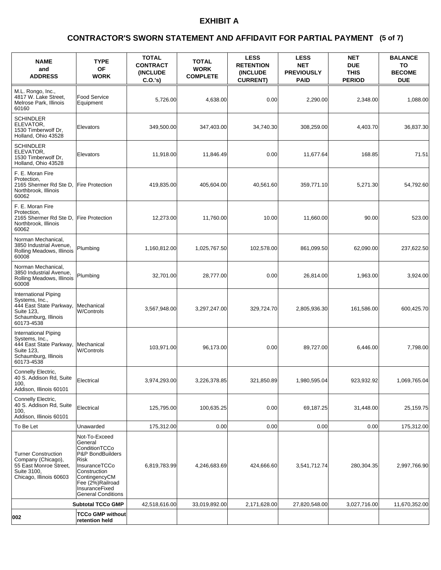### **(5 of 7) CONTRACTOR'S SWORN STATEMENT AND AFFIDAVIT FOR PARTIAL PAYMENT**

| <b>NAME</b><br>and<br><b>ADDRESS</b>                                                                                  | <b>TYPE</b><br><b>OF</b><br><b>WORK</b>                                                                                                                                                    | <b>TOTAL</b><br><b>CONTRACT</b><br><b>(INCLUDE)</b><br>C.O.'s) | <b>TOTAL</b><br><b>WORK</b><br><b>COMPLETE</b> | <b>LESS</b><br><b>RETENTION</b><br>(INCLUDE<br><b>CURRENT)</b> | <b>LESS</b><br><b>NET</b><br><b>PREVIOUSLY</b><br><b>PAID</b> | <b>NET</b><br><b>DUE</b><br><b>THIS</b><br><b>PERIOD</b> | <b>BALANCE</b><br>TO<br><b>BECOME</b><br><b>DUE</b> |
|-----------------------------------------------------------------------------------------------------------------------|--------------------------------------------------------------------------------------------------------------------------------------------------------------------------------------------|----------------------------------------------------------------|------------------------------------------------|----------------------------------------------------------------|---------------------------------------------------------------|----------------------------------------------------------|-----------------------------------------------------|
| M.L. Rongo, Inc.,<br>4817 W. Lake Street,<br>Melrose Park, Illinois<br>60160                                          | Food Service<br>Equipment                                                                                                                                                                  | 5,726.00                                                       | 4,638.00                                       | 0.00                                                           | 2,290.00                                                      | 2,348.00                                                 | 1,088.00                                            |
| <b>SCHINDLER</b><br>ELEVATOR,<br>1530 Timberwolf Dr.<br>Holland, Ohio 43528                                           | Elevators                                                                                                                                                                                  | 349,500.00                                                     | 347,403.00                                     | 34,740.30                                                      | 308,259.00                                                    | 4,403.70                                                 | 36,837.30                                           |
| <b>SCHINDLER</b><br>ELEVATOR,<br>1530 Timberwolf Dr,<br>Holland, Ohio 43528                                           | Elevators                                                                                                                                                                                  | 11,918.00                                                      | 11,846.49                                      | 0.00                                                           | 11,677.64                                                     | 168.85                                                   | 71.51                                               |
| F. E. Moran Fire<br>Protection,<br>2165 Shermer Rd Ste D,<br>Northbrook. Illinois<br>60062                            | <b>Fire Protection</b>                                                                                                                                                                     | 419,835.00                                                     | 405,604.00                                     | 40,561.60                                                      | 359,771.10                                                    | 5,271.30                                                 | 54,792.60                                           |
| F. E. Moran Fire<br>Protection,<br>2165 Shermer Rd Ste D,<br>Northbrook, Illinois<br>60062                            | <b>Fire Protection</b>                                                                                                                                                                     | 12,273.00                                                      | 11,760.00                                      | 10.00                                                          | 11,660.00                                                     | 90.00                                                    | 523.00                                              |
| Norman Mechanical,<br>3850 Industrial Avenue,<br>Rolling Meadows, Illinois<br>60008                                   | Plumbina                                                                                                                                                                                   | 1.160.812.00                                                   | 1,025,767.50                                   | 102,578.00                                                     | 861,099.50                                                    | 62,090.00                                                | 237,622.50                                          |
| Norman Mechanical,<br>3850 Industrial Avenue,<br>Rolling Meadows, Illinois<br>60008                                   | Plumbing                                                                                                                                                                                   | 32,701.00                                                      | 28,777.00                                      | 0.00                                                           | 26,814.00                                                     | 1,963.00                                                 | 3,924.00                                            |
| International Piping<br>Systems, Inc.,<br>444 East State Parkway,<br>Suite 123,<br>Schaumburg, Illinois<br>60173-4538 | Mechanical<br><b>W/Controls</b>                                                                                                                                                            | 3,567,948.00                                                   | 3,297,247.00                                   | 329,724.70                                                     | 2,805,936.30                                                  | 161,586.00                                               | 600,425.70                                          |
| International Piping<br>Systems, Inc.,<br>444 East State Parkway,<br>Suite 123,<br>Schaumburg, Illinois<br>60173-4538 | Mechanical<br><b>W/Controls</b>                                                                                                                                                            | 103,971.00                                                     | 96,173.00                                      | 0.00                                                           | 89,727.00                                                     | 6,446.00                                                 | 7,798.00                                            |
| Connelly Electric,<br>40 S. Addison Rd, Suite<br>100.<br>Addison, Illinois 60101                                      | Electrical                                                                                                                                                                                 | 3,974,293.00                                                   | 3,226,378.85                                   | 321,850.89                                                     | 1,980,595.04                                                  | 923,932.92                                               | 1,069,765.04                                        |
| Connelly Electric,<br>40 S. Addison Rd, Suite<br>100,<br>Addison, Illinois 60101                                      | Electrical                                                                                                                                                                                 | 125,795.00                                                     | 100,635.25                                     | 0.00                                                           | 69,187.25                                                     | 31,448.00                                                | 25,159.75                                           |
| To Be Let                                                                                                             | Unawarded                                                                                                                                                                                  | 175,312.00                                                     | 0.00                                           | 0.00                                                           | 0.00                                                          | 0.00                                                     | 175,312.00                                          |
| <b>Turner Construction</b><br>Company (Chicago),<br>55 East Monroe Street,<br>Suite 3100,<br>Chicago, Illinois 60603  | Not-To-Exceed<br>General<br>ConditionTCCo<br>P&P BondBuilders<br>Risk<br>InsuranceTCCo<br>Construction<br>ContingencyCM<br>Fee (2%)Railroad<br>InsuranceFixed<br><b>General Conditions</b> | 6,819,783.99                                                   | 4,246,683.69                                   | 424,666.60                                                     | 3,541,712.74                                                  | 280,304.35                                               | 2,997,766.90                                        |
|                                                                                                                       | <b>Subtotal TCCo GMP</b>                                                                                                                                                                   | 42,518,616.00                                                  | 33,019,892.00                                  | 2,171,628.00                                                   | 27,820,548.00                                                 | 3,027,716.00                                             | 11,670,352.00                                       |
| 002                                                                                                                   | <b>TCCo GMP without</b><br>retention held                                                                                                                                                  |                                                                |                                                |                                                                |                                                               |                                                          |                                                     |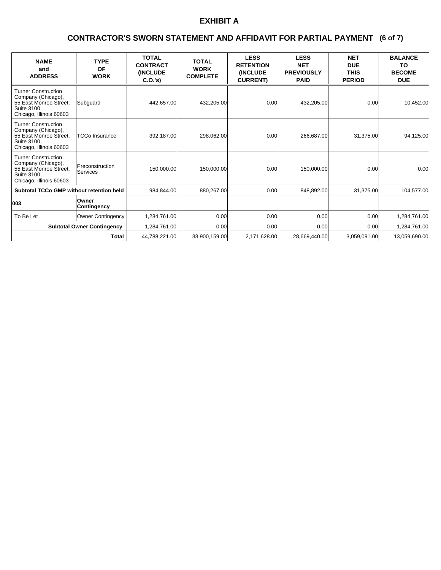### **(6 of 7) CONTRACTOR'S SWORN STATEMENT AND AFFIDAVIT FOR PARTIAL PAYMENT**

| <b>NAME</b><br>and<br><b>ADDRESS</b>                                                                                 | <b>TYPE</b><br><b>OF</b><br><b>WORK</b> | <b>TOTAL</b><br><b>CONTRACT</b><br><b>(INCLUDE)</b><br>C.0.'s) | <b>TOTAL</b><br><b>WORK</b><br><b>COMPLETE</b> | <b>LESS</b><br><b>RETENTION</b><br><b>(INCLUDE</b><br><b>CURRENT)</b> | <b>LESS</b><br><b>NET</b><br><b>PREVIOUSLY</b><br><b>PAID</b> | <b>NET</b><br><b>DUE</b><br><b>THIS</b><br><b>PERIOD</b> | <b>BALANCE</b><br>TO<br><b>BECOME</b><br><b>DUE</b> |
|----------------------------------------------------------------------------------------------------------------------|-----------------------------------------|----------------------------------------------------------------|------------------------------------------------|-----------------------------------------------------------------------|---------------------------------------------------------------|----------------------------------------------------------|-----------------------------------------------------|
| Turner Construction<br>Company (Chicago),<br>55 East Monroe Street,<br>Suite 3100.<br>Chicago, Illinois 60603        | Subguard                                | 442,657.00                                                     | 432,205.00                                     | 0.00                                                                  | 432,205.00                                                    | 0.00                                                     | 10,452.00                                           |
| <b>Turner Construction</b><br>Company (Chicago),<br>55 East Monroe Street,<br>Suite 3100,<br>Chicago, Illinois 60603 | <b>TCCo Insurance</b>                   | 392,187.00                                                     | 298,062.00                                     | 0.00                                                                  | 266,687.00                                                    | 31,375.00                                                | 94,125.00                                           |
| <b>Turner Construction</b><br>Company (Chicago),<br>55 East Monroe Street,<br>Suite 3100.<br>Chicago, Illinois 60603 | Preconstruction<br><b>Services</b>      | 150,000.00                                                     | 150,000.00                                     | 0.00                                                                  | 150,000.00                                                    | 0.00                                                     | 0.00                                                |
| <b>Subtotal TCCo GMP without retention held</b>                                                                      |                                         | 984.844.00                                                     | 880,267.00                                     | 0.00                                                                  | 848,892.00                                                    | 31,375.00                                                | 104.577.00                                          |
| 003                                                                                                                  | <b>Owner</b><br>Contingency             |                                                                |                                                |                                                                       |                                                               |                                                          |                                                     |
| To Be Let                                                                                                            | Owner Contingency                       | 1.284.761.00                                                   | 0.00                                           | 0.00                                                                  | 0.00 <sub>l</sub>                                             | 0.00                                                     | 1,284,761.00                                        |
| <b>Subtotal Owner Contingency</b>                                                                                    |                                         | 1,284,761.00                                                   | 0.00                                           | 0.00                                                                  | 0.00 <sub>l</sub>                                             | 0.00                                                     | 1,284,761.00                                        |
|                                                                                                                      | <b>Total</b>                            | 44,788,221.00                                                  | 33,900,159.00                                  | 2,171,628.00                                                          | 28,669,440.00                                                 | 3,059,091.00                                             | 13,059,690.00                                       |